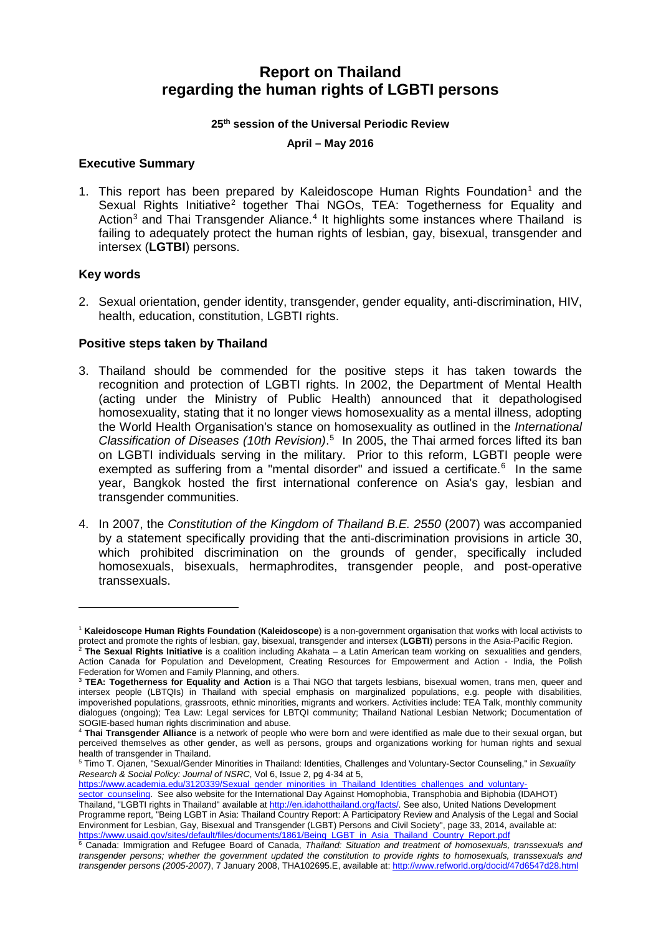# **Report on Thailand regarding the human rights of LGBTI persons**

#### **25th session of the Universal Periodic Review**

#### **April – May 2016**

#### **Executive Summary**

[1](#page-0-0). This report has been prepared by Kaleidoscope Human Rights Foundation<sup>1</sup> and the Sexual Rights Initiative<sup>[2](#page-0-1)</sup> together Thai NGOs, TEA: Togetherness for Equality and Action<sup>[3](#page-0-2)</sup> and Thai Transgender Aliance.<sup>[4](#page-0-3)</sup> It highlights some instances where Thailand is failing to adequately protect the human rights of lesbian, gay, bisexual, transgender and intersex (**LGTBI**) persons.

#### **Key words**

-

2. Sexual orientation, gender identity, transgender, gender equality, anti-discrimination, HIV, health, education, constitution, LGBTI rights.

#### **Positive steps taken by Thailand**

- 3. Thailand should be commended for the positive steps it has taken towards the recognition and protection of LGBTI rights. In 2002, the Department of Mental Health (acting under the Ministry of Public Health) announced that it depathologised homosexuality, stating that it no longer views homosexuality as a mental illness, adopting the World Health Organisation's stance on homosexuality as outlined in the *International Classification of Diseases (10th Revision)*. [5](#page-0-4) In 2005, the Thai armed forces lifted its ban on LGBTI individuals serving in the military. Prior to this reform, LGBTI people were exempted as suffering from a "mental disorder" and issued a certificate.<sup>[6](#page-0-5)</sup> In the same year, Bangkok hosted the first international conference on Asia's gay, lesbian and transgender communities.
- 4. In 2007, the *Constitution of the Kingdom of Thailand B.E. 2550* (2007) was accompanied by a statement specifically providing that the anti-discrimination provisions in article 30, which prohibited discrimination on the grounds of gender, specifically included homosexuals, bisexuals, hermaphrodites, transgender people, and post-operative transsexuals.

https://www.academia.edu/3120339/Sexual\_gender\_minorities\_in\_Thailand\_Identities\_challenges\_and\_voluntary

<span id="page-0-0"></span><sup>1</sup> **Kaleidoscope Human Rights Foundation** (**Kaleidoscope**) is a non-government organisation that works with local activists to protect and promote the rights of lesbian, gay, bisexual, transgender and intersex (**LGBTI**) persons in the Asia-Pacific Region.

<span id="page-0-1"></span><sup>2</sup> **The Sexual Rights Initiative** is a coalition including Akahata – a Latin American team working on sexualities and genders, Action Canada for Population and Development, Creating Resources for Empowerment and Action - India, the Polish Federation for Women and Family Planning, and others.

<span id="page-0-2"></span><sup>3</sup> **TEA: Togetherness for Equality and Action** is a Thai NGO that targets lesbians, bisexual women, trans men, queer and intersex people (LBTQIs) in Thailand with special emphasis on marginalized populations, e.g. people with disabilities, impoverished populations, grassroots, ethnic minorities, migrants and workers. Activities include: TEA Talk, monthly community dialogues (ongoing); Tea Law: Legal services for LBTQI community; Thailand National Lesbian Network; Documentation of SOGIE-based human rights discrimination and abuse.

<span id="page-0-3"></span><sup>4</sup> **Thai Transgender Alliance** is a network of people who were born and were identified as male due to their sexual organ, but perceived themselves as other gender, as well as persons, groups and organizations working for human rights and sexual health of transgender in Thailand.

<span id="page-0-4"></span><sup>5</sup> Timo T. Ojanen, "Sexual/Gender Minorities in Thailand: Identities, Challenges and Voluntary-Sector Counseling," in *Sexuality Research & Social Policy: Journal of NSRC*, Vol 6, Issue 2, pg 4-34 at 5,

[sector\\_counseling.](https://www.academia.edu/3120339/Sexual_gender_minorities_in_Thailand_Identities_challenges_and_voluntary-sector_counseling) See also website for the International Day Against Homophobia, Transphobia and Biphobia (IDAHOT) Thailand, "LGBTI rights in Thailand" available at [http://en.idahotthailand.org/facts/.](http://en.idahotthailand.org/facts/) See also, United Nations Development Programme report, "Being LGBT in Asia: Thailand Country Report: A Participatory Review and Analysis of the Legal and Social Environment for Lesbian, Gay, Bisexual and Transgender (LGBT) Persons and Civil Society", page 33, 2014, available at: [https://www.usaid.gov/sites/default/files/documents/1861/Being\\_LGBT\\_in\\_Asia\\_Thailand\\_Country\\_Report.pdf](https://www.usaid.gov/sites/default/files/documents/1861/Being_LGBT_in_Asia_Thailand_Country_Report.pdf)

<span id="page-0-5"></span><sup>6</sup> Canada: Immigration and Refugee Board of Canada, *Thailand: Situation and treatment of homosexuals, transsexuals and transgender persons; whether the government updated the constitution to provide rights to homosexuals, transsexuals and transgender persons (2005-2007)*, 7 January 2008, THA102695.E, available at[: http://www.refworld.org/docid/47d6547d28.html](http://www.refworld.org/docid/47d6547d28.html)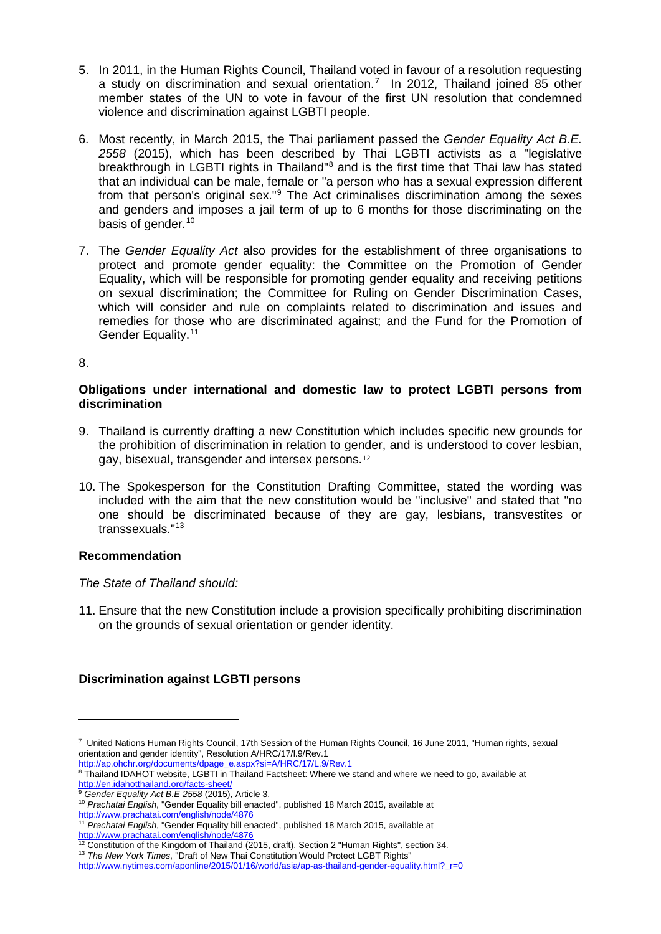- 5. In 2011, in the Human Rights Council, Thailand voted in favour of a resolution requesting a study on discrimination and sexual orientation.[7](#page-1-0) In 2012, Thailand joined 85 other member states of the UN to vote in favour of the first UN resolution that condemned violence and discrimination against LGBTI people.
- 6. Most recently, in March 2015, the Thai parliament passed the *Gender Equality Act B.E. 2558* (2015), which has been described by Thai LGBTI activists as a "legislative breakthrough in LGBTI rights in Thailand<sup>®</sup> and is the first time that Thai law has stated that an individual can be male, female or "a person who has a sexual expression different from that person's original sex."[9](#page-1-2) The Act criminalises discrimination among the sexes and genders and imposes a jail term of up to 6 months for those discriminating on the basis of gender.<sup>[10](#page-1-3)</sup>
- 7. The *Gender Equality Act* also provides for the establishment of three organisations to protect and promote gender equality: the Committee on the Promotion of Gender Equality, which will be responsible for promoting gender equality and receiving petitions on sexual discrimination; the Committee for Ruling on Gender Discrimination Cases, which will consider and rule on complaints related to discrimination and issues and remedies for those who are discriminated against; and the Fund for the Promotion of Gender Equality.<sup>[11](#page-1-4)</sup>

#### 8.

-

#### **Obligations under international and domestic law to protect LGBTI persons from discrimination**

- 9. Thailand is currently drafting a new Constitution which includes specific new grounds for the prohibition of discrimination in relation to gender, and is understood to cover lesbian, gay, bisexual, transgender and intersex persons.[12](#page-1-5)
- 10. The Spokesperson for the Constitution Drafting Committee, stated the wording was included with the aim that the new constitution would be "inclusive" and stated that "no one should be discriminated because of they are gay, lesbians, transvestites or transsexuals."[13](#page-1-6)

# **Recommendation**

# *The State of Thailand should:*

11. Ensure that the new Constitution include a provision specifically prohibiting discrimination on the grounds of sexual orientation or gender identity.

# **Discrimination against LGBTI persons**

<http://www.prachatai.com/english/node/4876>

<span id="page-1-0"></span><sup>7</sup> United Nations Human Rights Council, 17th Session of the Human Rights Council, 16 June 2011, "Human rights, sexual orientation and gender identity", Resolution A/HRC/17/l.9/Rev.1

<span id="page-1-1"></span>[http://ap.ohchr.org/documents/dpage\\_e.aspx?si=A/HRC/17/L.9/Rev.1](http://ap.ohchr.org/documents/dpage_e.aspx?si=A/HRC/17/L.9/Rev.1) <sup>8</sup> Thailand IDAHOT website, LGBTI in Thailand Factsheet: Where we stand and where we need to go, available at

<http://en.idahotthailand.org/facts-sheet/>

<span id="page-1-2"></span><sup>9</sup> *Gender Equality Act B.E 2558* (2015), Article 3.

<span id="page-1-3"></span><sup>10</sup> *Prachatai English*, "Gender Equality bill enacted", published 18 March 2015, available at

<span id="page-1-4"></span><sup>&</sup>lt;sup>11</sup> Prachatai English, "Gender Equality bill enacted", published 18 March 2015, available at <http://www.prachatai.com/english/node/4876>

<span id="page-1-5"></span> $12$  Constitution of the Kingdom of Thailand (2015, draft), Section 2 "Human Rights", section 34.

<span id="page-1-6"></span><sup>13</sup> *The New York Times*, "Draft of New Thai Constitution Would Protect LGBT Rights"

[http://www.nytimes.com/aponline/2015/01/16/world/asia/ap-as-thailand-gender-equality.html?\\_r=0](http://www.nytimes.com/aponline/2015/01/16/world/asia/ap-as-thailand-gender-equality.html?_r=0)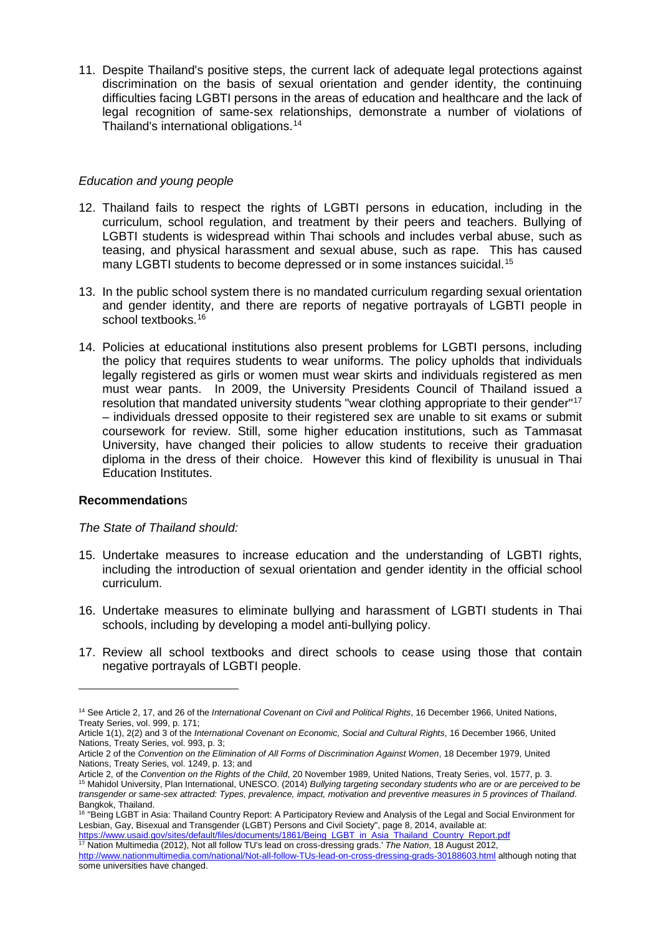11. Despite Thailand's positive steps, the current lack of adequate legal protections against discrimination on the basis of sexual orientation and gender identity, the continuing difficulties facing LGBTI persons in the areas of education and healthcare and the lack of legal recognition of same-sex relationships, demonstrate a number of violations of Thailand's international obligations.[14](#page-2-0)

# *Education and young people*

- 12. Thailand fails to respect the rights of LGBTI persons in education, including in the curriculum, school regulation, and treatment by their peers and teachers. Bullying of LGBTI students is widespread within Thai schools and includes verbal abuse, such as teasing, and physical harassment and sexual abuse, such as rape. This has caused many LGBTI students to become depressed or in some instances suicidal.<sup>[15](#page-2-1)</sup>
- 13. In the public school system there is no mandated curriculum regarding sexual orientation and gender identity, and there are reports of negative portrayals of LGBTI people in school textbooks.<sup>[16](#page-2-2)</sup>
- 14. Policies at educational institutions also present problems for LGBTI persons, including the policy that requires students to wear uniforms. The policy upholds that individuals legally registered as girls or women must wear skirts and individuals registered as men must wear pants. In 2009, the University Presidents Council of Thailand issued a resolution that mandated university students "wear clothing appropriate to their gender"[17](#page-2-3) – individuals dressed opposite to their registered sex are unable to sit exams or submit coursework for review. Still, some higher education institutions, such as Tammasat University, have changed their policies to allow students to receive their graduation diploma in the dress of their choice. However this kind of flexibility is unusual in Thai Education Institutes.

# **Recommendation**s

-

# *The State of Thailand should:*

- 15. Undertake measures to increase education and the understanding of LGBTI rights, including the introduction of sexual orientation and gender identity in the official school curriculum.
- 16. Undertake measures to eliminate bullying and harassment of LGBTI students in Thai schools, including by developing a model anti-bullying policy.
- 17. Review all school textbooks and direct schools to cease using those that contain negative portrayals of LGBTI people.

[https://www.usaid.gov/sites/default/files/documents/1861/Being\\_LGBT\\_in\\_Asia\\_Thailand\\_Country\\_Report.pdf](https://www.usaid.gov/sites/default/files/documents/1861/Being_LGBT_in_Asia_Thailand_Country_Report.pdf) <sup>17</sup> Nation Multimedia (2012), Not all follow TU's lead on cross-dressing grads.' *The Nation*, 18 August 2012,

<span id="page-2-0"></span><sup>14</sup> See Article 2, 17, and 26 of the *International Covenant on Civil and Political Rights*, 16 December 1966, United Nations, Treaty Series, vol. 999, p. 171;

Article 1(1), 2(2) and 3 of the *International Covenant on Economic, Social and Cultural Rights*, 16 December 1966, United Nations, Treaty Series, vol. 993, p. 3;

Article 2 of the *Convention on the Elimination of All Forms of Discrimination Against Women*, 18 December 1979, United Nations, Treaty Series, vol. 1249, p. 13; and

Article 2, of the *Convention on the Rights of the Child*, 20 November 1989, United Nations, Treaty Series, vol. 1577, p. 3.

<span id="page-2-1"></span><sup>15</sup> Mahidol University, Plan International, UNESCO. (2014) *Bullying targeting secondary students who are or are perceived to be transgender or same-sex attracted: Types, prevalence, impact, motivation and preventive measures in 5 provinces of Thailand*. Bangkok, Thailand.

<span id="page-2-2"></span><sup>16</sup> "Being LGBT in Asia: Thailand Country Report: A Participatory Review and Analysis of the Legal and Social Environment for Lesbian, Gay, Bisexual and Transgender (LGBT) Persons and Civil Society", page 8, 2014, available at:

<span id="page-2-3"></span><http://www.nationmultimedia.com/national/Not-all-follow-TUs-lead-on-cross-dressing-grads-30188603.html> although noting that some universities have changed.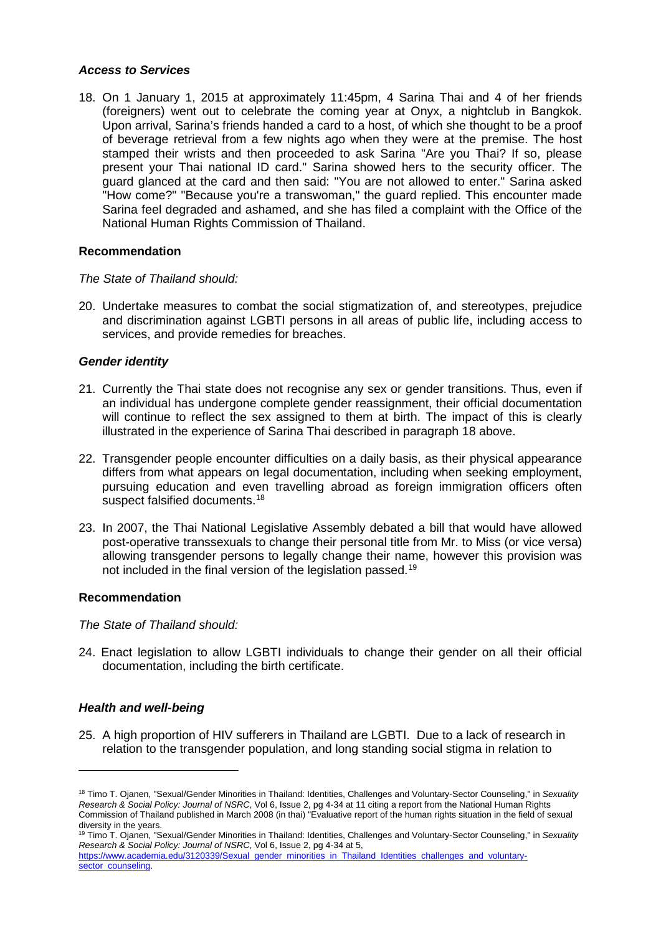#### *Access to Services*

18. On 1 January 1, 2015 at approximately 11:45pm, 4 Sarina Thai and 4 of her friends (foreigners) went out to celebrate the coming year at Onyx, a nightclub in Bangkok. Upon arrival, Sarina's friends handed a card to a host, of which she thought to be a proof of beverage retrieval from a few nights ago when they were at the premise. The host stamped their wrists and then proceeded to ask Sarina "Are you Thai? If so, please present your Thai national ID card." Sarina showed hers to the security officer. The guard glanced at the card and then said: "You are not allowed to enter." Sarina asked "How come?" "Because you're a transwoman," the guard replied. This encounter made Sarina feel degraded and ashamed, and she has filed a complaint with the Office of the National Human Rights Commission of Thailand.

# **Recommendation**

# *The State of Thailand should:*

20. Undertake measures to combat the social stigmatization of, and stereotypes, prejudice and discrimination against LGBTI persons in all areas of public life, including access to services, and provide remedies for breaches.

# *Gender identity*

- 21. Currently the Thai state does not recognise any sex or gender transitions. Thus, even if an individual has undergone complete gender reassignment, their official documentation will continue to reflect the sex assigned to them at birth. The impact of this is clearly illustrated in the experience of Sarina Thai described in paragraph 18 above.
- 22. Transgender people encounter difficulties on a daily basis, as their physical appearance differs from what appears on legal documentation, including when seeking employment, pursuing education and even travelling abroad as foreign immigration officers often suspect falsified documents.<sup>[18](#page-3-0)</sup>
- 23. In 2007, the Thai National Legislative Assembly debated a bill that would have allowed post-operative transsexuals to change their personal title from Mr. to Miss (or vice versa) allowing transgender persons to legally change their name, however this provision was not included in the final version of the legislation passed.<sup>[19](#page-3-1)</sup>

# **Recommendation**

#### *The State of Thailand should:*

24. Enact legislation to allow LGBTI individuals to change their gender on all their official documentation, including the birth certificate.

# *Health and well-being*

-

25. A high proportion of HIV sufferers in Thailand are LGBTI. Due to a lack of research in relation to the transgender population, and long standing social stigma in relation to

<span id="page-3-1"></span><sup>19</sup> Timo T. Ojanen, "Sexual/Gender Minorities in Thailand: Identities, Challenges and Voluntary-Sector Counseling," in *Sexuality Research & Social Policy: Journal of NSRC*, Vol 6, Issue 2, pg 4-34 at 5,

<span id="page-3-0"></span><sup>18</sup> Timo T. Ojanen, "Sexual/Gender Minorities in Thailand: Identities, Challenges and Voluntary-Sector Counseling," in *Sexuality Research & Social Policy: Journal of NSRC*, Vol 6, Issue 2, pg 4-34 at 11 citing a report from the National Human Rights Commission of Thailand published in March 2008 (in thai) "Evaluative report of the human rights situation in the field of sexual diversity in the years.

[https://www.academia.edu/3120339/Sexual\\_gender\\_minorities\\_in\\_Thailand\\_Identities\\_challenges\\_and\\_voluntary](https://www.academia.edu/3120339/Sexual_gender_minorities_in_Thailand_Identities_challenges_and_voluntary-sector_counseling)[sector\\_counseling.](https://www.academia.edu/3120339/Sexual_gender_minorities_in_Thailand_Identities_challenges_and_voluntary-sector_counseling)